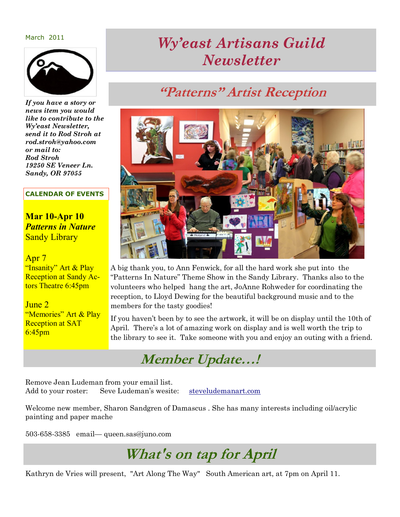March 2011



*If you have a story or news item you would like to contribute to the Wy'east Newsletter, send it to Rod Stroh at rod.stroh@yahoo.com or mail to: Rod Stroh 19250 SE Veneer Ln. Sandy, OR 97055*

#### **CALENDAR OF EVENTS**

**Mar 10-Apr 10** *Patterns in Nature*  Sandy Library

#### Apr 7

"Insanity" Art & Play Reception at Sandy Actors Theatre 6:45pm

June 2 "Memories" Art & Play Reception at SAT 6:45pm

# *Wy'east Artisans Guild Newsletter*

### **"Patterns" Artist Reception**



A big thank you, to Ann Fenwick, for all the hard work she put into the ―Patterns In Nature‖ Theme Show in the Sandy Library. Thanks also to the volunteers who helped hang the art, JoAnne Rohweder for coordinating the reception, to Lloyd Dewing for the beautiful background music and to the members for the tasty goodies!

If you haven't been by to see the artwork, it will be on display until the 10th of April. There's a lot of amazing work on display and is well worth the trip to the library to see it. Take someone with you and enjoy an outing with a friend.



Remove Jean Ludeman from your email list. Add to your roster: Seve Ludeman's wesite: [steveludemanart.com](http://steveludemanart.com/) 

Welcome new member, Sharon Sandgren of Damascus . She has many interests including oil/acrylic painting and paper mache

503-658-3385 email— queen.sas@juno.com

**What's on tap for April**

Kathryn de Vries will present, "Art Along The Way" South American art, at 7pm on April 11.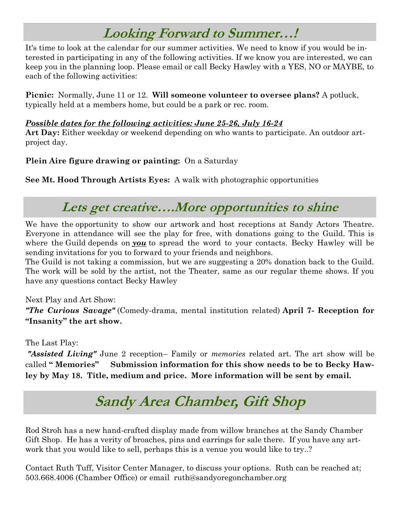# **Looking Forward to Summer…!**

It's time to look at the calendar for our summer activities. We need to know if you would be interested in participating in any of the following activities. If we know you are interested, we can keep you in the planning loop. Please email or call Becky Hawley with a YES, NO or MAYBE, to each of the following activities:

**Picnic:** Normally, June 11 or 12. **Will someone volunteer to oversee plans?** A potluck, typically held at a members home, but could be a park or rec. room.

#### *Possible dates for the following activities: June 25-26, July 16-24*

**Art Day:** Either weekday or weekend depending on who wants to participate. An outdoor artproject day.

### **Plein Aire figure drawing or painting:** On a Saturday

**See Mt. Hood Through Artists Eyes:** A walk with photographic opportunities

### **Lets get creative….More opportunities to shine**

We have the opportunity to show our artwork and host receptions at Sandy Actors Theatre. Everyone in attendance will see the play for free, with donations going to the Guild. This is where the Guild depends on *you* to spread the word to your contacts. Becky Hawley will be sending invitations for you to forward to your friends and neighbors.

The Guild is not taking a commission, but we are suggesting a 20% donation back to the Guild. The work will be sold by the artist, not the Theater, same as our regular theme shows. If you have any questions contact Becky Hawley

#### Next Play and Art Show:

*"The Curious Savage"* (Comedy-drama, mental institution related) **April 7- Reception for "Insanity" the art show.** 

The Last Play:

*"Assisted Living"* June 2 reception– Family or *memories* related art. The art show will be called **" Memories" Submission information for this show needs to be to Becky Hawley by May 18. Title, medium and price. More information will be sent by email.**

# **Sandy Area Chamber, Gift Shop**

Rod Stroh has a new hand-crafted display made from willow branches at the Sandy Chamber Gift Shop. He has a verity of broaches, pins and earrings for sale there. If you have any artwork that you would like to sell, perhaps this is a venue you would like to try..?

Contact Ruth Tuff, Visitor Center Manager, to discuss your options. Ruth can be reached at; 503.668.4006 (Chamber Office) or email ruth@sandyoregonchamber.org